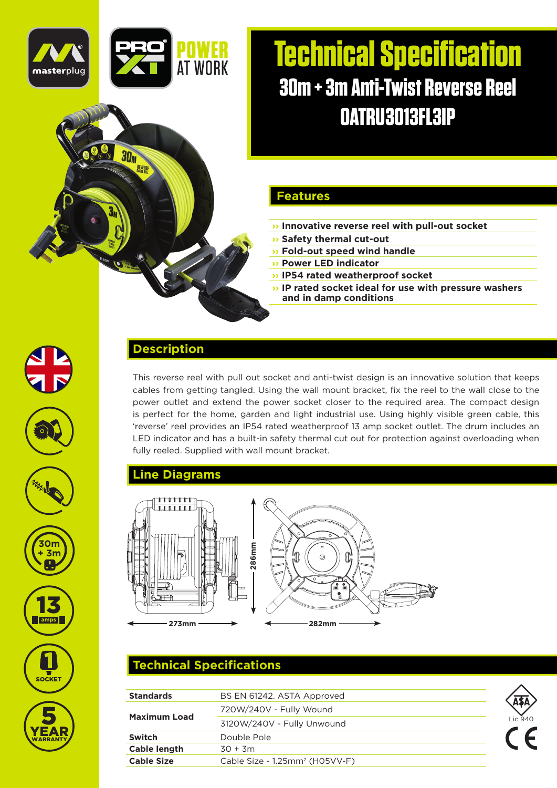

 $30<sub>M</sub>$ 

# **Technical Specification 30m + 3m Anti-Twist Reverse Reel OATRU3013FL3IP**

#### **Features**

- **›› Innovative reverse reel with pull-out socket**
- **›› Safety thermal cut-out**
- **›› Fold-out speed wind handle**
- **›› Power LED indicator**
- **›› IP54 rated weatherproof socket**
- **›› IP rated socket ideal for use with pressure washers and in damp conditions**













YEAR

**WARRANTY** 

This reverse reel with pull out socket and anti-twist design is an innovative solution that keeps cables from getting tangled. Using the wall mount bracket, fix the reel to the wall close to the power outlet and extend the power socket closer to the required area. The compact design is perfect for the home, garden and light industrial use. Using highly visible green cable, this 'reverse' reel provides an IP54 rated weatherproof 13 amp socket outlet. The drum includes an LED indicator and has a built-in safety thermal cut out for protection against overloading when fully reeled. Supplied with wall mount bracket.

#### **Line Diagrams**

**Description**



## **Technical Specifications**

| <b>Standards</b>    | BS EN 61242. ASTA Approved                 |         |
|---------------------|--------------------------------------------|---------|
| <b>Maximum Load</b> | 720W/240V - Fully Wound                    |         |
|                     | 3120W/240V - Fully Unwound                 | Lic 940 |
| Switch              | Double Pole                                |         |
| Cable length        | $30 + 3m$                                  |         |
| <b>Cable Size</b>   | Cable Size - 1.25mm <sup>2</sup> (H05VV-F) |         |